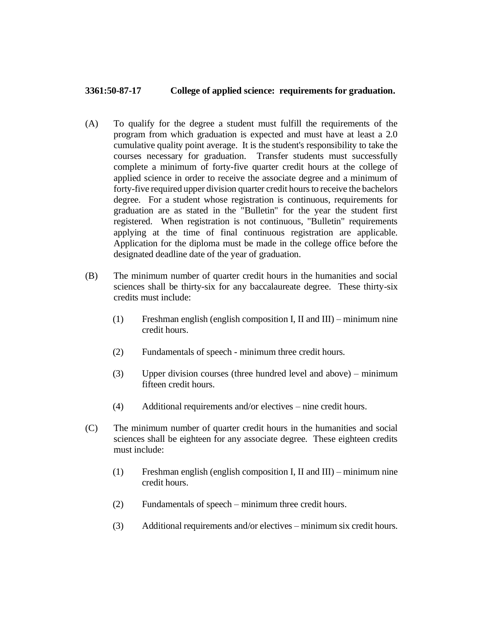## **3361:50-87-17 College of applied science: requirements for graduation.**

- (A) To qualify for the degree a student must fulfill the requirements of the program from which graduation is expected and must have at least a 2.0 cumulative quality point average. It is the student's responsibility to take the courses necessary for graduation. Transfer students must successfully complete a minimum of forty-five quarter credit hours at the college of applied science in order to receive the associate degree and a minimum of forty-five required upper division quarter credit hours to receive the bachelors degree. For a student whose registration is continuous, requirements for graduation are as stated in the "Bulletin" for the year the student first registered. When registration is not continuous, "Bulletin" requirements applying at the time of final continuous registration are applicable. Application for the diploma must be made in the college office before the designated deadline date of the year of graduation.
- (B) The minimum number of quarter credit hours in the humanities and social sciences shall be thirty-six for any baccalaureate degree. These thirty-six credits must include:
	- (1) Freshman english (english composition I, II and III) minimum nine credit hours.
	- (2) Fundamentals of speech minimum three credit hours.
	- (3) Upper division courses (three hundred level and above) minimum fifteen credit hours.
	- (4) Additional requirements and/or electives nine credit hours.
- (C) The minimum number of quarter credit hours in the humanities and social sciences shall be eighteen for any associate degree. These eighteen credits must include:
	- (1) Freshman english (english composition I, II and III) minimum nine credit hours.
	- (2) Fundamentals of speech minimum three credit hours.
	- (3) Additional requirements and/or electives minimum six credit hours.